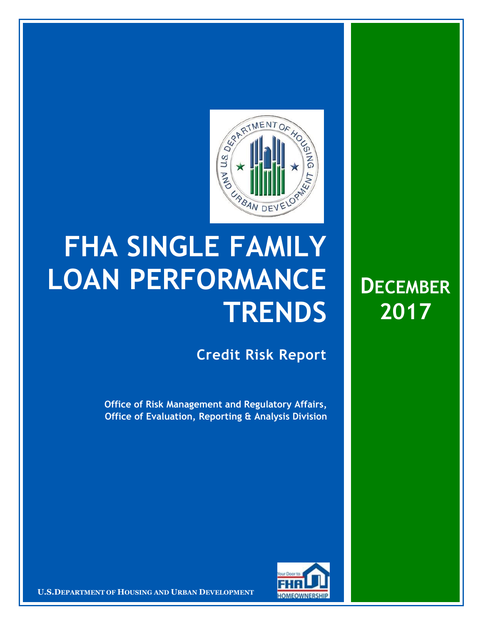

## **FHA SINGLE FAMILY LOAN PERFORMANCE TRENDS**

**Credit Risk Report**

**DECEMBER**

**2017**

**Office of Risk Management and Regulatory Affairs, Office of Evaluation, Reporting & Analysis Division**



**U.S.DEPARTMENT OF HOUSING AND URBAN DEVELOPMENT**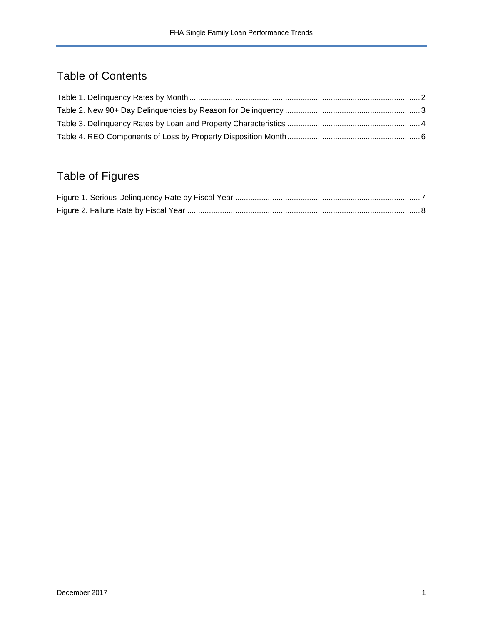## Table of Contents

## Table of Figures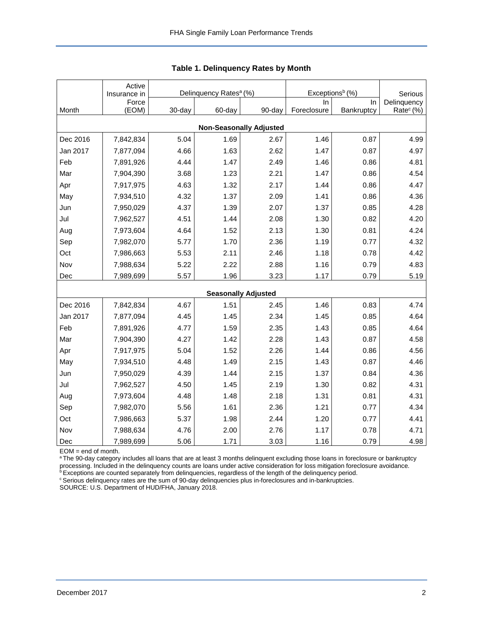<span id="page-2-0"></span>

|                                | Active                |        | Delinquency Rates <sup>a</sup> (%) |                            | Exceptions <sup>b</sup> (%) |            |                        |  |  |  |  |
|--------------------------------|-----------------------|--------|------------------------------------|----------------------------|-----------------------------|------------|------------------------|--|--|--|--|
|                                | Insurance in<br>Force |        |                                    |                            | In                          | In         | Serious<br>Delinquency |  |  |  |  |
| Month                          | (EOM)                 | 30-day | 60-day                             | 90-day                     | Foreclosure                 | Bankruptcy | Rate <sup>c</sup> (%)  |  |  |  |  |
| <b>Non-Seasonally Adjusted</b> |                       |        |                                    |                            |                             |            |                        |  |  |  |  |
| Dec 2016                       | 7,842,834             | 5.04   | 1.69                               | 2.67                       | 1.46                        | 0.87       | 4.99                   |  |  |  |  |
| Jan 2017                       | 7,877,094             | 4.66   | 1.63                               | 2.62                       | 1.47                        | 0.87       | 4.97                   |  |  |  |  |
| Feb                            | 7,891,926             | 4.44   | 1.47                               | 2.49                       | 1.46                        | 0.86       | 4.81                   |  |  |  |  |
| Mar                            | 7,904,390             | 3.68   | 1.23                               | 2.21                       | 1.47                        | 0.86       | 4.54                   |  |  |  |  |
| Apr                            | 7,917,975             | 4.63   | 1.32                               | 2.17                       | 1.44                        | 0.86       | 4.47                   |  |  |  |  |
| May                            | 7,934,510             | 4.32   | 1.37                               | 2.09                       | 1.41                        | 0.86       | 4.36                   |  |  |  |  |
| Jun                            | 7,950,029             | 4.37   | 1.39                               | 2.07                       | 1.37                        | 0.85       | 4.28                   |  |  |  |  |
| Jul                            | 7,962,527             | 4.51   | 1.44                               | 2.08                       | 1.30                        | 0.82       | 4.20                   |  |  |  |  |
| Aug                            | 7,973,604             | 4.64   | 1.52                               | 2.13                       | 1.30                        | 0.81       | 4.24                   |  |  |  |  |
| Sep                            | 7,982,070             | 5.77   | 1.70                               | 2.36                       | 1.19                        | 0.77       | 4.32                   |  |  |  |  |
| Oct                            | 7,986,663             | 5.53   | 2.11                               | 2.46                       | 1.18                        | 0.78       | 4.42                   |  |  |  |  |
| Nov                            | 7,988,634             | 5.22   | 2.22                               | 2.88                       | 1.16                        | 0.79       | 4.83                   |  |  |  |  |
| Dec                            | 7,989,699             | 5.57   | 1.96                               | 3.23                       | 1.17                        | 0.79       | 5.19                   |  |  |  |  |
|                                |                       |        |                                    | <b>Seasonally Adjusted</b> |                             |            |                        |  |  |  |  |
| Dec 2016                       | 7,842,834             | 4.67   | 1.51                               | 2.45                       | 1.46                        | 0.83       | 4.74                   |  |  |  |  |
| Jan 2017                       | 7,877,094             | 4.45   | 1.45                               | 2.34                       | 1.45                        | 0.85       | 4.64                   |  |  |  |  |
| Feb                            | 7,891,926             | 4.77   | 1.59                               | 2.35                       | 1.43                        | 0.85       | 4.64                   |  |  |  |  |
| Mar                            | 7,904,390             | 4.27   | 1.42                               | 2.28                       | 1.43                        | 0.87       | 4.58                   |  |  |  |  |
| Apr                            | 7,917,975             | 5.04   | 1.52                               | 2.26                       | 1.44                        | 0.86       | 4.56                   |  |  |  |  |
| May                            | 7,934,510             | 4.48   | 1.49                               | 2.15                       | 1.43                        | 0.87       | 4.46                   |  |  |  |  |
| Jun                            | 7,950,029             | 4.39   | 1.44                               | 2.15                       | 1.37                        | 0.84       | 4.36                   |  |  |  |  |
| Jul                            | 7,962,527             | 4.50   | 1.45                               | 2.19                       | 1.30                        | 0.82       | 4.31                   |  |  |  |  |
| Aug                            | 7,973,604             | 4.48   | 1.48                               | 2.18                       | 1.31                        | 0.81       | 4.31                   |  |  |  |  |
| Sep                            | 7,982,070             | 5.56   | 1.61                               | 2.36                       | 1.21                        | 0.77       | 4.34                   |  |  |  |  |
| Oct                            | 7,986,663             | 5.37   | 1.98                               | 2.44                       | 1.20                        | 0.77       | 4.41                   |  |  |  |  |
| Nov                            | 7,988,634             | 4.76   | 2.00                               | 2.76                       | 1.17                        | 0.78       | 4.71                   |  |  |  |  |
| Dec                            | 7,989,699             | 5.06   | 1.71                               | 3.03                       | 1.16                        | 0.79       | 4.98                   |  |  |  |  |

**Table 1. Delinquency Rates by Month**

EOM = end of month.

a The 90-day category includes all loans that are at least 3 months delinquent excluding those loans in foreclosure or bankruptcy processing. Included in the delinquency counts are loans under active consideration for loss mitigation foreclosure avoidance.

**bExceptions are counted separately from delinquencies, regardless of the length of the delinquency period.** 

<sup>c</sup> Serious delinquency rates are the sum of 90-day delinquencies plus in-foreclosures and in-bankruptcies.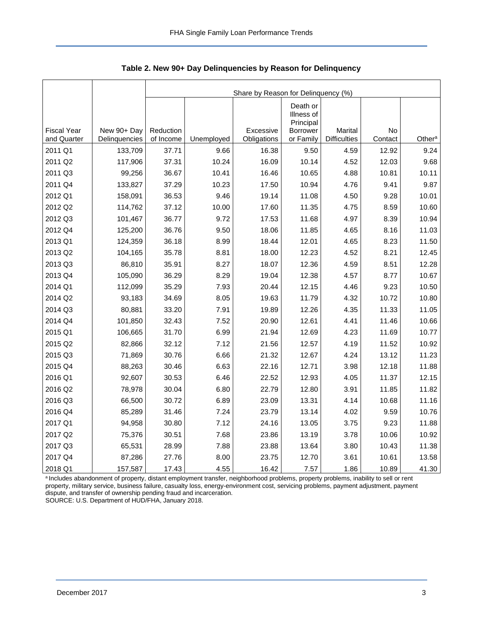|                    |               | Share by Reason for Delinquency (%) |            |             |                                                        |                     |         |                    |  |  |  |  |
|--------------------|---------------|-------------------------------------|------------|-------------|--------------------------------------------------------|---------------------|---------|--------------------|--|--|--|--|
| <b>Fiscal Year</b> | New 90+ Day   | Reduction                           |            | Excessive   | Death or<br>Illness of<br>Principal<br><b>Borrower</b> | Marital             | No      |                    |  |  |  |  |
| and Quarter        | Delinquencies | of Income                           | Unemployed | Obligations | or Family                                              | <b>Difficulties</b> | Contact | Other <sup>a</sup> |  |  |  |  |
| 2011 Q1            | 133,709       | 37.71                               | 9.66       | 16.38       | 9.50                                                   | 4.59                | 12.92   | 9.24               |  |  |  |  |
| 2011 Q2            | 117,906       | 37.31                               | 10.24      | 16.09       | 10.14                                                  | 4.52                | 12.03   | 9.68               |  |  |  |  |
| 2011 Q3            | 99,256        | 36.67                               | 10.41      | 16.46       | 10.65                                                  | 4.88                | 10.81   | 10.11              |  |  |  |  |
| 2011 Q4            | 133,827       | 37.29                               | 10.23      | 17.50       | 10.94                                                  | 4.76                | 9.41    | 9.87               |  |  |  |  |
| 2012 Q1            | 158,091       | 36.53                               | 9.46       | 19.14       | 11.08                                                  | 4.50                | 9.28    | 10.01              |  |  |  |  |
| 2012 Q2            | 114,762       | 37.12                               | 10.00      | 17.60       | 11.35                                                  | 4.75                | 8.59    | 10.60              |  |  |  |  |
| 2012 Q3            | 101,467       | 36.77                               | 9.72       | 17.53       | 11.68                                                  | 4.97                | 8.39    | 10.94              |  |  |  |  |
| 2012 Q4            | 125,200       | 36.76                               | 9.50       | 18.06       | 11.85                                                  | 4.65                | 8.16    | 11.03              |  |  |  |  |
| 2013 Q1            | 124,359       | 36.18                               | 8.99       | 18.44       | 12.01                                                  | 4.65                | 8.23    | 11.50              |  |  |  |  |
| 2013 Q2            | 104,165       | 35.78                               | 8.81       | 18.00       | 12.23                                                  | 4.52                | 8.21    | 12.45              |  |  |  |  |
| 2013 Q3            | 86,810        | 35.91                               | 8.27       | 18.07       | 12.36                                                  | 4.59                | 8.51    | 12.28              |  |  |  |  |
| 2013 Q4            | 105,090       | 36.29                               | 8.29       | 19.04       | 12.38                                                  | 4.57                | 8.77    | 10.67              |  |  |  |  |
| 2014 Q1            | 112,099       | 35.29                               | 7.93       | 20.44       | 12.15                                                  | 4.46                | 9.23    | 10.50              |  |  |  |  |
| 2014 Q2            | 93,183        | 34.69                               | 8.05       | 19.63       | 11.79                                                  | 4.32                | 10.72   | 10.80              |  |  |  |  |
| 2014 Q3            | 80,881        | 33.20                               | 7.91       | 19.89       | 12.26                                                  | 4.35                | 11.33   | 11.05              |  |  |  |  |
| 2014 Q4            | 101,850       | 32.43                               | 7.52       | 20.90       | 12.61                                                  | 4.41                | 11.46   | 10.66              |  |  |  |  |
| 2015 Q1            | 106,665       | 31.70                               | 6.99       | 21.94       | 12.69                                                  | 4.23                | 11.69   | 10.77              |  |  |  |  |
| 2015 Q2            | 82,866        | 32.12                               | 7.12       | 21.56       | 12.57                                                  | 4.19                | 11.52   | 10.92              |  |  |  |  |
| 2015 Q3            | 71,869        | 30.76                               | 6.66       | 21.32       | 12.67                                                  | 4.24                | 13.12   | 11.23              |  |  |  |  |
| 2015 Q4            | 88,263        | 30.46                               | 6.63       | 22.16       | 12.71                                                  | 3.98                | 12.18   | 11.88              |  |  |  |  |
| 2016 Q1            | 92,607        | 30.53                               | 6.46       | 22.52       | 12.93                                                  | 4.05                | 11.37   | 12.15              |  |  |  |  |
| 2016 Q2            | 78,978        | 30.04                               | 6.80       | 22.79       | 12.80                                                  | 3.91                | 11.85   | 11.82              |  |  |  |  |
| 2016 Q3            | 66,500        | 30.72                               | 6.89       | 23.09       | 13.31                                                  | 4.14                | 10.68   | 11.16              |  |  |  |  |
| 2016 Q4            | 85,289        | 31.46                               | 7.24       | 23.79       | 13.14                                                  | 4.02                | 9.59    | 10.76              |  |  |  |  |
| 2017 Q1            | 94,958        | 30.80                               | 7.12       | 24.16       | 13.05                                                  | 3.75                | 9.23    | 11.88              |  |  |  |  |
| 2017 Q2            | 75,376        | 30.51                               | 7.68       | 23.86       | 13.19                                                  | 3.78                | 10.06   | 10.92              |  |  |  |  |
| 2017 Q3            | 65,531        | 28.99                               | 7.88       | 23.88       | 13.64                                                  | 3.80                | 10.43   | 11.38              |  |  |  |  |
| 2017 Q4            | 87,286        | 27.76                               | 8.00       | 23.75       | 12.70                                                  | 3.61                | 10.61   | 13.58              |  |  |  |  |
| 2018 Q1            | 157,587       | 17.43                               | 4.55       | 16.42       | 7.57                                                   | 1.86                | 10.89   | 41.30              |  |  |  |  |

<span id="page-3-0"></span>**Table 2. New 90+ Day Delinquencies by Reason for Delinquency**

a Includes abandonment of property, distant employment transfer, neighborhood problems, property problems, inability to sell or rent property, military service, business failure, casualty loss, energy-environment cost, servicing problems, payment adjustment, payment dispute, and transfer of ownership pending fraud and incarceration. SOURCE: U.S. Department of HUD/FHA, January 2018.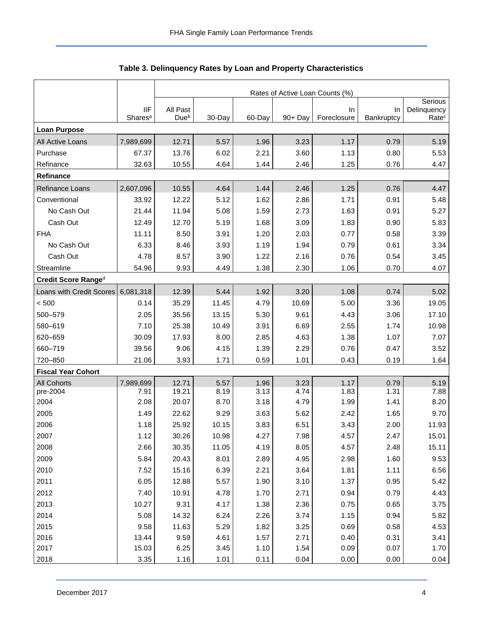<span id="page-4-0"></span>

|                           |                                   | Rates of Active Loan Counts (%) |              |              |              |                          |                  |                                  |  |  |
|---------------------------|-----------------------------------|---------------------------------|--------------|--------------|--------------|--------------------------|------------------|----------------------------------|--|--|
|                           |                                   | All Past                        |              |              |              |                          |                  | Serious                          |  |  |
|                           | <b>IIF</b><br>Shares <sup>a</sup> | Dueb                            | 30-Day       | 60-Day       | 90+ Day      | <b>In</b><br>Foreclosure | In<br>Bankruptcy | Delinquency<br>Rate <sup>c</sup> |  |  |
| <b>Loan Purpose</b>       |                                   |                                 |              |              |              |                          |                  |                                  |  |  |
| All Active Loans          | 7,989,699                         | 12.71                           | 5.57         | 1.96         | 3.23         | 1.17                     | 0.79             | 5.19                             |  |  |
| Purchase                  | 67.37                             | 13.76                           | 6.02         | 2.21         | 3.60         | 1.13                     | 0.80             | 5.53                             |  |  |
| Refinance                 | 32.63                             | 10.55                           | 4.64         | 1.44         | 2.46         | 1.25                     | 0.76             | 4.47                             |  |  |
| Refinance                 |                                   |                                 |              |              |              |                          |                  |                                  |  |  |
| Refinance Loans           | 2,607,096                         | 10.55                           | 4.64         | 1.44         | 2.46         | 1.25                     | 0.76             | 4.47                             |  |  |
| Conventional              | 33.92                             | 12.22                           | 5.12         | 1.62         | 2.86         | 1.71                     | 0.91             | 5.48                             |  |  |
| No Cash Out               | 21.44                             | 11.94                           | 5.08         | 1.59         | 2.73         | 1.63                     | 0.91             | 5.27                             |  |  |
| Cash Out                  | 12.49                             | 12.70                           | 5.19         | 1.68         | 3.09         | 1.83                     | 0.90             | 5.83                             |  |  |
| <b>FHA</b>                | 11.11                             | 8.50                            | 3.91         | 1.20         | 2.03         | 0.77                     | 0.58             | 3.39                             |  |  |
| No Cash Out               | 6.33                              | 8.46                            | 3.93         | 1.19         | 1.94         | 0.79                     | 0.61             | 3.34                             |  |  |
| Cash Out                  | 4.78                              | 8.57                            | 3.90         | 1.22         | 2.16         | 0.76                     | 0.54             | 3.45                             |  |  |
| Streamline                | 54.96                             | 9.93                            | 4.49         | 1.38         | 2.30         | 1.06                     | 0.70             | 4.07                             |  |  |
| Credit Score Ranged       |                                   |                                 |              |              |              |                          |                  |                                  |  |  |
| Loans with Credit Scores  | 6,081,318                         | 12.39                           | 5.44         | 1.92         | 3.20         | 1.08                     | 0.74             | 5.02                             |  |  |
| < 500                     | 0.14                              | 35.29                           | 11.45        | 4.79         | 10.69        | 5.00                     | 3.36             | 19.05                            |  |  |
| 500-579                   | 2.05                              | 35.56                           | 13.15        | 5.30         | 9.61         | 4.43                     | 3.06             | 17.10                            |  |  |
| 580-619                   | 7.10                              | 25.38                           | 10.49        | 3.91         | 6.69         | 2.55                     | 1.74             | 10.98                            |  |  |
| 620-659                   | 30.09                             | 17.93                           | 8.00         | 2.85         | 4.63         | 1.38                     | 1.07             | 7.07                             |  |  |
| 660-719                   | 39.56                             | 9.06                            | 4.15         | 1.39         | 2.29         | 0.76                     | 0.47             | 3.52                             |  |  |
| 720-850                   | 21.06                             | 3.93                            | 1.71         | 0.59         | 1.01         | 0.43                     | 0.19             | 1.64                             |  |  |
| <b>Fiscal Year Cohort</b> |                                   |                                 |              |              |              |                          |                  |                                  |  |  |
| <b>All Cohorts</b>        | 7,989,699                         | 12.71                           | 5.57         | 1.96         | 3.23         | 1.17                     | 0.79             | 5.19                             |  |  |
| pre-2004                  | 7.91                              | 19.21                           | 8.19         | 3.13         | 4.74         | 1.83                     | 1.31             | 7.88                             |  |  |
| 2004                      | 2.08                              | 20.07                           | 8.70         | 3.18         | 4.79         | 1.99                     | 1.41             | 8.20                             |  |  |
| 2005                      | 1.49                              | 22.62                           | 9.29         | 3.63         | 5.62         | 2.42                     | 1.65             | 9.70                             |  |  |
| 2006                      | 1.18                              | 25.92                           | 10.15        | 3.83         | 6.51         | 3.43                     | 2.00             | 11.93                            |  |  |
| 2007                      | 1.12                              | 30.26                           | 10.98        | 4.27         | 7.98         | 4.57                     | 2.47             | 15.01                            |  |  |
| 2008                      | 2.66                              | 30.35                           | 11.05        | 4.19         | 8.05         | 4.57                     | 2.48             | 15.11                            |  |  |
| 2009                      | 5.84                              | 20.43                           | 8.01         | 2.89         | 4.95         | 2.98                     | 1.60             | 9.53                             |  |  |
| 2010                      | 7.52                              | 15.16                           | 6.39         | 2.21         | 3.64         | 1.81                     | 1.11             | 6.56                             |  |  |
| 2011                      | 6.05                              | 12.88                           | 5.57         | 1.90         | 3.10         | 1.37                     | 0.95             | 5.42                             |  |  |
| 2012                      | 7.40                              | 10.91                           | 4.78         | 1.70         | 2.71         | 0.94                     | 0.79             | 4.43                             |  |  |
| 2013                      | 10.27                             | 9.31                            | 4.17         | 1.38         | 2.36         | 0.75                     | 0.65             | 3.75                             |  |  |
| 2014                      | 5.08                              | 14.32                           | 6.24         | 2.26         | 3.74         | 1.15                     | 0.94             | 5.82                             |  |  |
| 2015                      | 9.58                              | 11.63                           | 5.29         | 1.82         | 3.25         | 0.69                     | 0.58             | 4.53                             |  |  |
| 2016<br>2017              | 13.44<br>15.03                    | 9.59<br>6.25                    | 4.61<br>3.45 | 1.57<br>1.10 | 2.71<br>1.54 | 0.40<br>0.09             | 0.31<br>0.07     | 3.41<br>1.70                     |  |  |
| 2018                      | 3.35                              |                                 |              |              |              |                          |                  |                                  |  |  |
|                           |                                   | 1.16                            | 1.01         | 0.11         | 0.04         | 0.00                     | 0.00             | 0.04                             |  |  |

**Table 3. Delinquency Rates by Loan and Property Characteristics**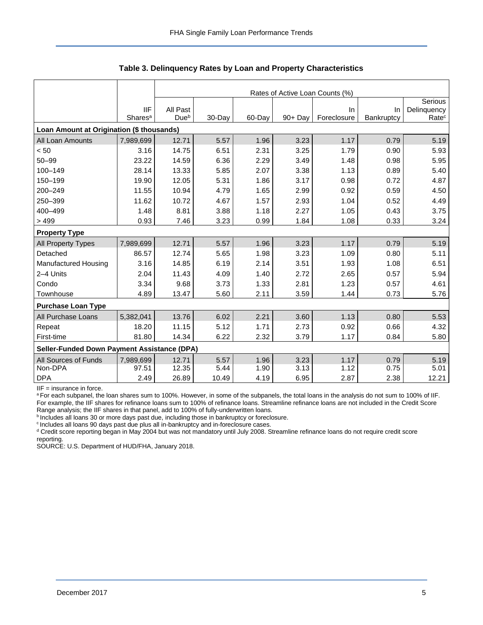|                                             |                     | Rates of Active Loan Counts (%) |        |        |            |             |            |                   |  |  |  |
|---------------------------------------------|---------------------|---------------------------------|--------|--------|------------|-------------|------------|-------------------|--|--|--|
|                                             |                     |                                 |        |        |            |             |            | Serious           |  |  |  |
|                                             | <b>IIF</b>          | All Past                        |        |        |            | In          | In         | Delinquency       |  |  |  |
|                                             | Shares <sup>a</sup> | Due <sup>b</sup>                | 30-Day | 60-Day | $90 + Day$ | Foreclosure | Bankruptcy | Rate <sup>c</sup> |  |  |  |
| Loan Amount at Origination (\$ thousands)   |                     |                                 |        |        |            |             |            |                   |  |  |  |
| All Loan Amounts                            | 7,989,699           | 12.71                           | 5.57   | 1.96   | 3.23       | 1.17        | 0.79       | 5.19              |  |  |  |
| < 50                                        | 3.16                | 14.75                           | 6.51   | 2.31   | 3.25       | 1.79        | 0.90       | 5.93              |  |  |  |
| $50 - 99$                                   | 23.22               | 14.59                           | 6.36   | 2.29   | 3.49       | 1.48        | 0.98       | 5.95              |  |  |  |
| 100-149                                     | 28.14               | 13.33                           | 5.85   | 2.07   | 3.38       | 1.13        | 0.89       | 5.40              |  |  |  |
| 150-199                                     | 19.90               | 12.05                           | 5.31   | 1.86   | 3.17       | 0.98        | 0.72       | 4.87              |  |  |  |
| 200-249                                     | 11.55               | 10.94                           | 4.79   | 1.65   | 2.99       | 0.92        | 0.59       | 4.50              |  |  |  |
| 250-399                                     | 11.62               | 10.72                           | 4.67   | 1.57   | 2.93       | 1.04        | 0.52       | 4.49              |  |  |  |
| 400-499                                     | 1.48                | 8.81                            | 3.88   | 1.18   | 2.27       | 1.05        | 0.43       | 3.75              |  |  |  |
| >499                                        | 0.93                | 7.46                            | 3.23   | 0.99   | 1.84       | 1.08        | 0.33       | 3.24              |  |  |  |
| <b>Property Type</b>                        |                     |                                 |        |        |            |             |            |                   |  |  |  |
| <b>All Property Types</b>                   | 7,989,699           | 12.71                           | 5.57   | 1.96   | 3.23       | 1.17        | 0.79       | 5.19              |  |  |  |
| Detached                                    | 86.57               | 12.74                           | 5.65   | 1.98   | 3.23       | 1.09        | 0.80       | 5.11              |  |  |  |
| Manufactured Housing                        | 3.16                | 14.85                           | 6.19   | 2.14   | 3.51       | 1.93        | 1.08       | 6.51              |  |  |  |
| 2-4 Units                                   | 2.04                | 11.43                           | 4.09   | 1.40   | 2.72       | 2.65        | 0.57       | 5.94              |  |  |  |
| Condo                                       | 3.34                | 9.68                            | 3.73   | 1.33   | 2.81       | 1.23        | 0.57       | 4.61              |  |  |  |
| Townhouse                                   | 4.89                | 13.47                           | 5.60   | 2.11   | 3.59       | 1.44        | 0.73       | 5.76              |  |  |  |
| <b>Purchase Loan Type</b>                   |                     |                                 |        |        |            |             |            |                   |  |  |  |
| All Purchase Loans                          | 5,382,041           | 13.76                           | 6.02   | 2.21   | 3.60       | 1.13        | 0.80       | 5.53              |  |  |  |
| Repeat                                      | 18.20               | 11.15                           | 5.12   | 1.71   | 2.73       | 0.92        | 0.66       | 4.32              |  |  |  |
| First-time                                  | 81.80               | 14.34                           | 6.22   | 2.32   | 3.79       | 1.17        | 0.84       | 5.80              |  |  |  |
| Seller-Funded Down Payment Assistance (DPA) |                     |                                 |        |        |            |             |            |                   |  |  |  |
| All Sources of Funds                        | 7,989,699           | 12.71                           | 5.57   | 1.96   | 3.23       | 1.17        | 0.79       | 5.19              |  |  |  |
| Non-DPA                                     | 97.51               | 12.35                           | 5.44   | 1.90   | 3.13       | 1.12        | 0.75       | 5.01              |  |  |  |
| <b>DPA</b>                                  | 2.49                | 26.89                           | 10.49  | 4.19   | 6.95       | 2.87        | 2.38       | 12.21             |  |  |  |

**Table 3. Delinquency Rates by Loan and Property Characteristics**

IIF = insurance in force.

a For each subpanel, the loan shares sum to 100%. However, in some of the subpanels, the total loans in the analysis do not sum to 100% of IIF. For example, the IIF shares for refinance loans sum to 100% of refinance loans. Streamline refinance loans are not included in the Credit Score Range analysis; the IIF shares in that panel, add to 100% of fully-underwritten loans.

**bIncludes all loans 30 or more days past due, including those in bankruptcy or foreclosure.** 

<sup>c</sup> Includes all loans 90 days past due plus all in-bankruptcy and in-foreclosure cases.

<sup>d</sup> Credit score reporting began in May 2004 but was not mandatory until July 2008. Streamline refinance loans do not require credit score reporting.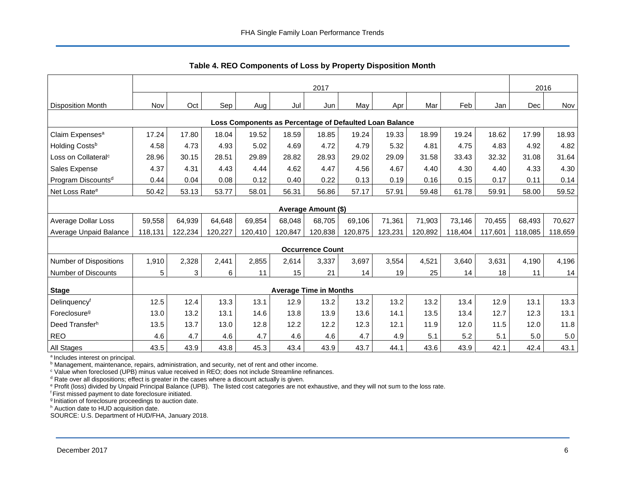<span id="page-6-0"></span>

|                                                         | 2017    |         |         |         |         |                               |         |         |         |         | 2016    |         |         |
|---------------------------------------------------------|---------|---------|---------|---------|---------|-------------------------------|---------|---------|---------|---------|---------|---------|---------|
| <b>Disposition Month</b>                                | Nov     | Oct     | Sep     | Aug     | Jul     | Jun                           | May     | Apr     | Mar     | Feb     | Jan     | Dec     | Nov     |
| Loss Components as Percentage of Defaulted Loan Balance |         |         |         |         |         |                               |         |         |         |         |         |         |         |
| Claim Expenses <sup>a</sup>                             | 17.24   | 17.80   | 18.04   | 19.52   | 18.59   | 18.85                         | 19.24   | 19.33   | 18.99   | 19.24   | 18.62   | 17.99   | 18.93   |
| Holding Costs <sup>b</sup>                              | 4.58    | 4.73    | 4.93    | 5.02    | 4.69    | 4.72                          | 4.79    | 5.32    | 4.81    | 4.75    | 4.83    | 4.92    | 4.82    |
| Loss on Collateral <sup>c</sup>                         | 28.96   | 30.15   | 28.51   | 29.89   | 28.82   | 28.93                         | 29.02   | 29.09   | 31.58   | 33.43   | 32.32   | 31.08   | 31.64   |
| Sales Expense                                           | 4.37    | 4.31    | 4.43    | 4.44    | 4.62    | 4.47                          | 4.56    | 4.67    | 4.40    | 4.30    | 4.40    | 4.33    | 4.30    |
| Program Discounts <sup>d</sup>                          | 0.44    | 0.04    | 0.08    | 0.12    | 0.40    | 0.22                          | 0.13    | 0.19    | 0.16    | 0.15    | 0.17    | 0.11    | 0.14    |
| Net Loss Rate <sup>e</sup>                              | 50.42   | 53.13   | 53.77   | 58.01   | 56.31   | 56.86                         | 57.17   | 57.91   | 59.48   | 61.78   | 59.91   | 58.00   | 59.52   |
|                                                         |         |         |         |         |         | Average Amount (\$)           |         |         |         |         |         |         |         |
| Average Dollar Loss                                     | 59,558  | 64,939  | 64,648  | 69,854  | 68,048  | 68,705                        | 69,106  | 71,361  | 71,903  | 73,146  | 70,455  | 68,493  | 70,627  |
| Average Unpaid Balance                                  | 118,131 | 122,234 | 120,227 | 120,410 | 120,847 | 120,838                       | 120,875 | 123,231 | 120,892 | 118,404 | 117,601 | 118,085 | 118,659 |
|                                                         |         |         |         |         |         | <b>Occurrence Count</b>       |         |         |         |         |         |         |         |
| <b>Number of Dispositions</b>                           | 1,910   | 2,328   | 2,441   | 2,855   | 2,614   | 3,337                         | 3,697   | 3,554   | 4,521   | 3,640   | 3,631   | 4,190   | 4,196   |
| Number of Discounts                                     | 5       | 3       | 6       | 11      | 15      | 21                            | 14      | 19      | 25      | 14      | 18      | 11      | 14      |
| <b>Stage</b>                                            |         |         |         |         |         | <b>Average Time in Months</b> |         |         |         |         |         |         |         |
| Delinquencyf                                            | 12.5    | 12.4    | 13.3    | 13.1    | 12.9    | 13.2                          | 13.2    | 13.2    | 13.2    | 13.4    | 12.9    | 13.1    | 13.3    |
| Foreclosure <sup>g</sup>                                | 13.0    | 13.2    | 13.1    | 14.6    | 13.8    | 13.9                          | 13.6    | 14.1    | 13.5    | 13.4    | 12.7    | 12.3    | 13.1    |
| Deed Transferh                                          | 13.5    | 13.7    | 13.0    | 12.8    | 12.2    | 12.2                          | 12.3    | 12.1    | 11.9    | 12.0    | 11.5    | 12.0    | 11.8    |
| <b>REO</b>                                              | 4.6     | 4.7     | 4.6     | 4.7     | 4.6     | 4.6                           | 4.7     | 4.9     | 5.1     | 5.2     | 5.1     | 5.0     | 5.0     |
| All Stages                                              | 43.5    | 43.9    | 43.8    | 45.3    | 43.4    | 43.9                          | 43.7    | 44.1    | 43.6    | 43.9    | 42.1    | 42.4    | 43.1    |

**Table 4. REO Components of Loss by Property Disposition Month**

<sup>a</sup> Includes interest on principal.

**b** Management, maintenance, repairs, administration, and security, net of rent and other income.

<sup>c</sup> Value when foreclosed (UPB) minus value received in REO; does not include Streamline refinances.

 $d$  Rate over all dispositions; effect is greater in the cases where a discount actually is given.

<sup>e</sup> Profit (loss) divided by Unpaid Principal Balance (UPB). The listed cost categories are not exhaustive, and they will not sum to the loss rate.

<sup>f</sup> First missed payment to date foreclosure initiated.

<sup>g</sup> Initiation of foreclosure proceedings to auction date.

h Auction date to HUD acquisition date.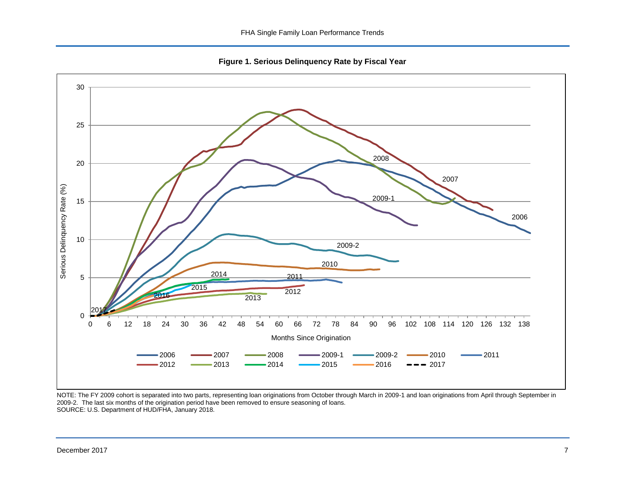**Figure 1. Serious Delinquency Rate by Fiscal Year**

<span id="page-7-0"></span>

NOTE: The FY 2009 cohort is separated into two parts, representing loan originations from October through March in 2009-1 and loan originations from April through September in 2009-2. The last six months of the origination period have been removed to ensure seasoning of loans. SOURCE: U.S. Department of HUD/FHA, January 2018.